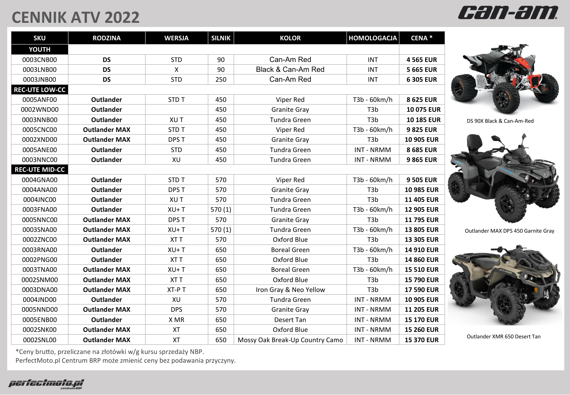## **CENNIK ATV 2022**

| <b>SKU</b>            | <b>RODZINA</b>       | <b>WERSJA</b> | <b>SILNIK</b> | <b>KOLOR</b>                    | <b>HOMOLOGACJA</b> | CENA <sup>*</sup> |  |  |  |
|-----------------------|----------------------|---------------|---------------|---------------------------------|--------------------|-------------------|--|--|--|
| YOUTH                 |                      |               |               |                                 |                    |                   |  |  |  |
| 0003CNB00             | <b>DS</b>            | <b>STD</b>    | 90            | Can-Am Red                      | INT                | <b>4565 EUR</b>   |  |  |  |
| 0003LNB00             | <b>DS</b>            | $\mathsf{X}$  | 90            | Black & Can-Am Red              | <b>INT</b>         | <b>5 665 EUR</b>  |  |  |  |
| 0003JNB00             | <b>DS</b>            | <b>STD</b>    | 250           | Can-Am Red                      | <b>INT</b>         | 6 305 EUR         |  |  |  |
| <b>REC-UTE LOW-CC</b> |                      |               |               |                                 |                    |                   |  |  |  |
| 0005ANF00             | Outlander            | STD T         | 450           | Viper Red                       | T3b - 60km/h       | 8 625 EUR         |  |  |  |
| 0002WND00             | <b>Outlander</b>     |               | 450           | <b>Granite Gray</b>             | T <sub>3</sub> b   | <b>10 075 EUR</b> |  |  |  |
| 0003NNB00             | <b>Outlander</b>     | XU T          | 450           | <b>Tundra Green</b>             | T <sub>3</sub> b   | <b>10 185 EUR</b> |  |  |  |
| 0005CNC00             | <b>Outlander MAX</b> | <b>STDT</b>   | 450           | Viper Red                       | T3b - 60km/h       | 9825 EUR          |  |  |  |
| 0002XND00             | <b>Outlander MAX</b> | DPS T         | 450           | <b>Granite Gray</b>             | T <sub>3</sub> b   | 10 905 EUR        |  |  |  |
| 0005ANE00             | <b>Outlander</b>     | <b>STD</b>    | 450           | <b>Tundra Green</b>             | <b>INT - NRMM</b>  | 8 685 EUR         |  |  |  |
| 0003NNC00             | Outlander            | XU            | 450           | <b>Tundra Green</b>             | <b>INT - NRMM</b>  | 9865 EUR          |  |  |  |
| <b>REC-UTE MID-CC</b> |                      |               |               |                                 |                    |                   |  |  |  |
| 0004GNA00             | Outlander            | <b>STDT</b>   | 570           | Viper Red                       | T3b - 60km/h       | <b>9 505 EUR</b>  |  |  |  |
| 0004ANA00             | <b>Outlander</b>     | DPS T         | 570           | <b>Granite Gray</b>             | T <sub>3</sub> b   | <b>10 985 EUR</b> |  |  |  |
| 0004JNC00             | <b>Outlander</b>     | XU T          | 570           | Tundra Green                    | T <sub>3</sub> b   | <b>11 405 EUR</b> |  |  |  |
| 0003FNA00             | <b>Outlander</b>     | $XU+T$        | 570(1)        | <b>Tundra Green</b>             | T3b - 60km/h       | <b>12 905 EUR</b> |  |  |  |
| 0005NNC00             | <b>Outlander MAX</b> | DPS T         | 570           | <b>Granite Gray</b>             | T <sub>3</sub> b   | <b>11795 EUR</b>  |  |  |  |
| 0003SNA00             | <b>Outlander MAX</b> | $XU+T$        | 570(1)        | Tundra Green                    | T3b - 60km/h       | <b>13 805 EUR</b> |  |  |  |
| 0002ZNC00             | <b>Outlander MAX</b> | XT T          | 570           | Oxford Blue                     | T <sub>3</sub> b   | <b>13 305 EUR</b> |  |  |  |
| 0003RNA00             | <b>Outlander</b>     | $XU+T$        | 650           | <b>Boreal Green</b>             | T3b - 60km/h       | 14 910 EUR        |  |  |  |
| 0002PNG00             | <b>Outlander</b>     | XT T          | 650           | Oxford Blue                     | T <sub>3</sub> b   | <b>14 860 EUR</b> |  |  |  |
| 0003TNA00             | <b>Outlander MAX</b> | $XU+T$        | 650           | <b>Boreal Green</b>             | T3b - 60km/h       | <b>15 510 EUR</b> |  |  |  |
| 0002SNM00             | <b>Outlander MAX</b> | XT T          | 650           | Oxford Blue                     | T3b                | <b>15 790 EUR</b> |  |  |  |
| 0003DNA00             | <b>Outlander MAX</b> | XT-PT         | 650           | Iron Gray & Neo Yellow          | T <sub>3</sub> b   | <b>17 590 EUR</b> |  |  |  |
| 0004JND00             | <b>Outlander</b>     | XU            | 570           | <b>Tundra Green</b>             | <b>INT - NRMM</b>  | <b>10 905 EUR</b> |  |  |  |
| 0005NND00             | <b>Outlander MAX</b> | <b>DPS</b>    | 570           | <b>Granite Gray</b>             | <b>INT - NRMM</b>  | <b>11 205 EUR</b> |  |  |  |
| 0005ENB00             | <b>Outlander</b>     | X MR          | 650           | Desert Tan                      | <b>INT - NRMM</b>  | <b>15 170 EUR</b> |  |  |  |
| 0002SNK00             | <b>Outlander MAX</b> | <b>XT</b>     | 650           | Oxford Blue                     | <b>INT - NRMM</b>  | <b>15 260 EUR</b> |  |  |  |
| 0002SNL00             | <b>Outlander MAX</b> | <b>XT</b>     | 650           | Mossy Oak Break-Up Country Camo | <b>INT - NRMM</b>  | <b>15 370 EUR</b> |  |  |  |



can-am

DS 90X Black & Can-Am-Red



Outlander MAX DPS 450 Garnite Gray



Outlander XMR 650 Desert Tan

\*Ceny brutto, przeliczane na złotówki w/g kursu sprzedaży NBP.

PerfectMoto.pl Centrum BRP może zmienić ceny bez podawania przyczyny.

perfectmoto.pl